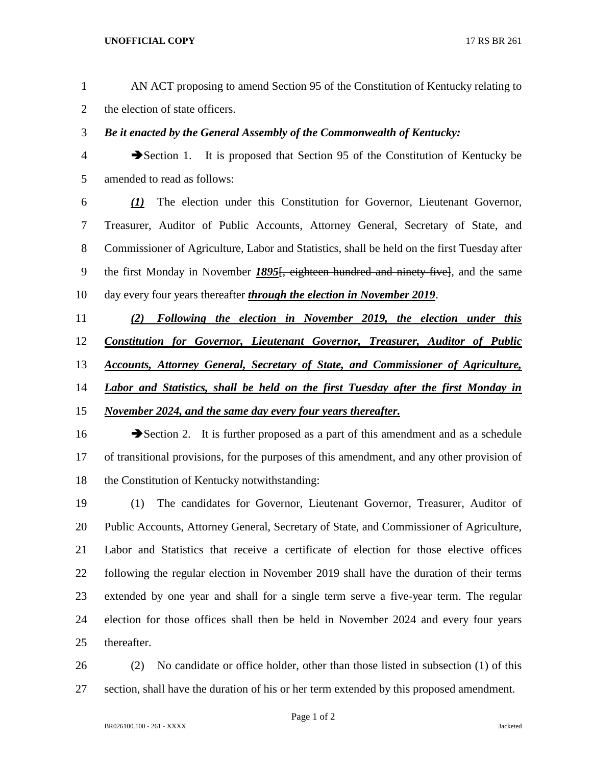- AN ACT proposing to amend Section 95 of the Constitution of Kentucky relating to the election of state officers.
- *Be it enacted by the General Assembly of the Commonwealth of Kentucky:*
- Section 1. It is proposed that Section 95 of the Constitution of Kentucky be amended to read as follows:
- *(1)* The election under this Constitution for Governor, Lieutenant Governor, Treasurer, Auditor of Public Accounts, Attorney General, Secretary of State, and Commissioner of Agriculture, Labor and Statistics, shall be held on the first Tuesday after the first Monday in November *1895*[, eighteen hundred and ninety-five], and the same day every four years thereafter *through the election in November 2019*.
- *(2) Following the election in November 2019, the election under this Constitution for Governor, Lieutenant Governor, Treasurer, Auditor of Public Accounts, Attorney General, Secretary of State, and Commissioner of Agriculture, Labor and Statistics, shall be held on the first Tuesday after the first Monday in November 2024, and the same day every four years thereafter.*
- 16 Section 2. It is further proposed as a part of this amendment and as a schedule of transitional provisions, for the purposes of this amendment, and any other provision of the Constitution of Kentucky notwithstanding:
- (1) The candidates for Governor, Lieutenant Governor, Treasurer, Auditor of Public Accounts, Attorney General, Secretary of State, and Commissioner of Agriculture, Labor and Statistics that receive a certificate of election for those elective offices following the regular election in November 2019 shall have the duration of their terms extended by one year and shall for a single term serve a five-year term. The regular election for those offices shall then be held in November 2024 and every four years thereafter.
- (2) No candidate or office holder, other than those listed in subsection (1) of this section, shall have the duration of his or her term extended by this proposed amendment.